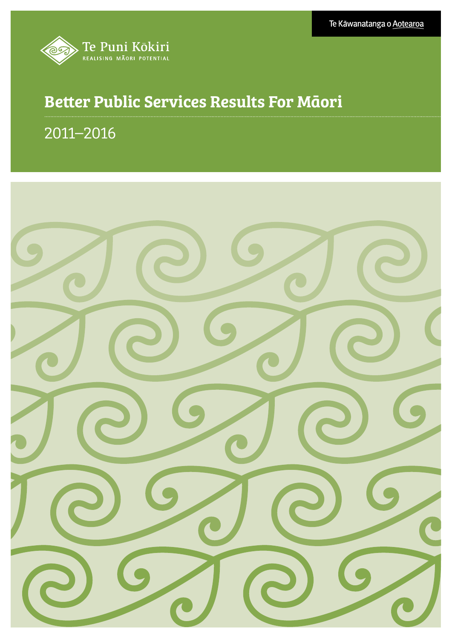

# Better Public Services Results For Māori

# 2011–2016

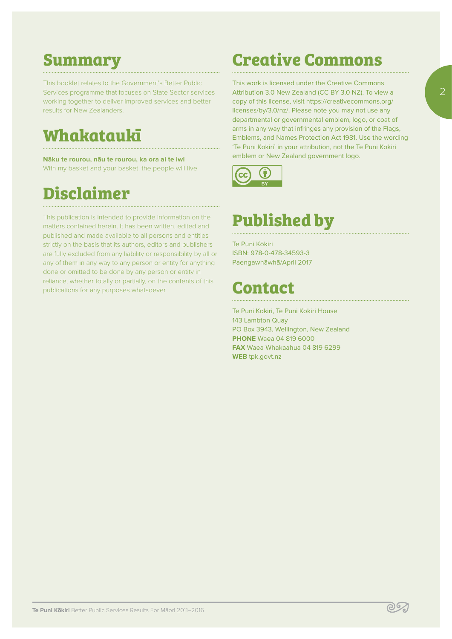# **Summary**

This booklet relates to the Government's Better Public Services programme that focuses on State Sector services working together to deliver improved services and better results for New Zealanders.

# **Whakataukī**

**Nāku te rourou, nāu te rourou, ka ora ai te iwi**  With my basket and your basket, the people will live

# **Disclaimer**

This publication is intended to provide information on the matters contained herein. It has been written, edited and published and made available to all persons and entities strictly on the basis that its authors, editors and publishers are fully excluded from any liability or responsibility by all or any of them in any way to any person or entity for anything done or omitted to be done by any person or entity in reliance, whether totally or partially, on the contents of this publications for any purposes whatsoever.

# **Creative Commons**

This work is licensed under the Creative Commons Attribution 3.0 New Zealand (CC BY 3.0 NZ). To view a copy of this license, visit https://creativecommons.org/ licenses/by/3.0/nz/. Please note you may not use any departmental or governmental emblem, logo, or coat of arms in any way that infringes any provision of the Flags, Emblems, and Names Protection Act 1981. Use the wording 'Te Puni Kōkiri' in your attribution, not the Te Puni Kōkiri emblem or New Zealand government logo.



# **Published by**

Te Puni Kōkiri ISBN: 978-0-478-34593-3 Paengawhāwhā/April 2017

# **Contact**

Te Puni Kōkiri, Te Puni Kōkiri House 143 Lambton Quay PO Box 3943, Wellington, New Zealand **PHONE** Waea 04 819 6000 **FAX** Waea Whakaahua 04 819 6299 **WEB** tpk.govt.nz

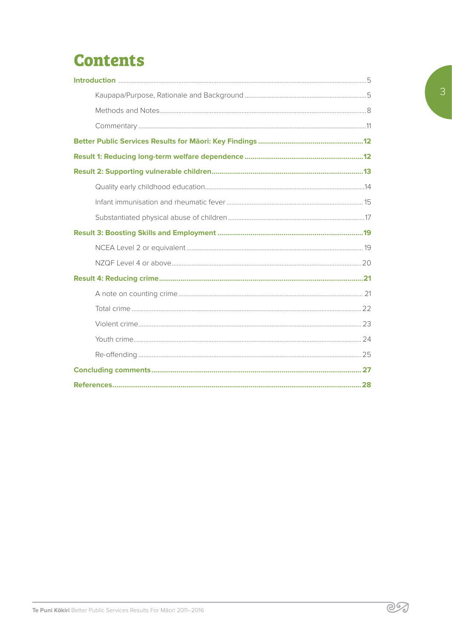# **Contents**

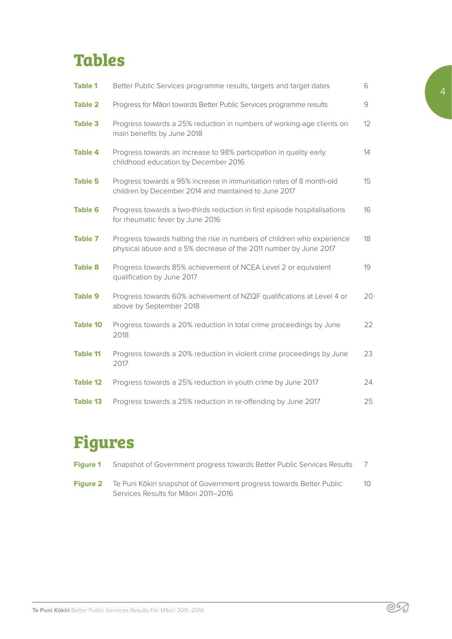# **Tables**

| <b>Table 1</b>  | Better Public Services programme results, targets and target dates                                                                          | 6               |
|-----------------|---------------------------------------------------------------------------------------------------------------------------------------------|-----------------|
| <b>Table 2</b>  | Progress for Māori towards Better Public Services programme results                                                                         | $\mathcal{G}$   |
| <b>Table 3</b>  | Progress towards a 25% reduction in numbers of working-age clients on<br>main benefits by June 2018                                         | 12 <sup>2</sup> |
| <b>Table 4</b>  | Progress towards an increase to 98% participation in quality early<br>childhood education by December 2016                                  | 14              |
| <b>Table 5</b>  | Progress towards a 95% increase in immunisation rates of 8 month-old<br>children by December 2014 and maintained to June 2017               | 15              |
| <b>Table 6</b>  | Progress towards a two-thirds reduction in first episode hospitalisations<br>for rheumatic fever by June 2016                               | 16              |
| <b>Table 7</b>  | Progress towards halting the rise in numbers of children who experience<br>physical abuse and a 5% decrease of the 2011 number by June 2017 | 18              |
| <b>Table 8</b>  | Progress towards 85% achievement of NCEA Level 2 or equivalent<br>qualification by June 2017                                                | 19              |
| <b>Table 9</b>  | Progress towards 60% achievement of NZQF qualifications at Level 4 or<br>above by September 2018                                            | 20              |
| <b>Table 10</b> | Progress towards a 20% reduction in total crime proceedings by June<br>2018                                                                 | 22              |
| <b>Table 11</b> | Progress towards a 20% reduction in violent crime proceedings by June<br>2017                                                               | 23              |
| <b>Table 12</b> | Progress towards a 25% reduction in youth crime by June 2017                                                                                | 24              |
| <b>Table 13</b> | Progress towards a 25% reduction in re-offending by June 2017                                                                               | 25              |

# **Figures**

| Figure 1 | Snapshot of Government progress towards Better Public Services Results                                       |    |
|----------|--------------------------------------------------------------------------------------------------------------|----|
| Figure 2 | Te Puni Kōkiri snapshot of Government progress towards Better Public<br>Services Results for Maori 2011-2016 | 10 |

මනි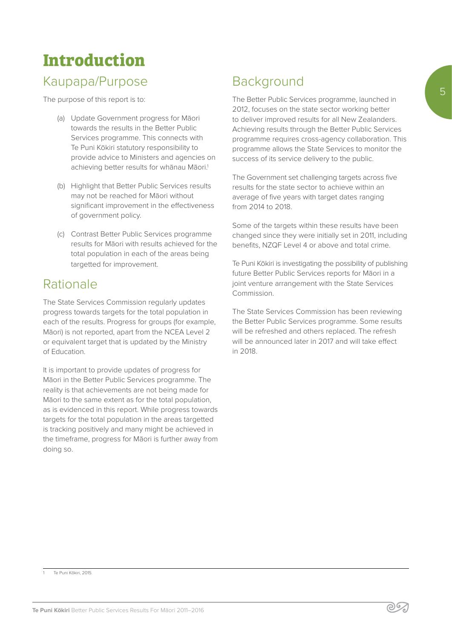# **Introduction**

# Kaupapa/Purpose

The purpose of this report is to:

- (a) Update Government progress for Māori towards the results in the Better Public Services programme. This connects with Te Puni Kōkiri statutory responsibility to provide advice to Ministers and agencies on achieving better results for whanau Māori.<sup>1</sup>
- (b) Highlight that Better Public Services results may not be reached for Māori without significant improvement in the effectiveness of government policy.
- (c) Contrast Better Public Services programme results for Māori with results achieved for the total population in each of the areas being targetted for improvement.

## Rationale

The State Services Commission regularly updates progress towards targets for the total population in each of the results. Progress for groups (for example, Māori) is not reported, apart from the NCEA Level 2 or equivalent target that is updated by the Ministry of Education.

It is important to provide updates of progress for Māori in the Better Public Services programme. The reality is that achievements are not being made for Māori to the same extent as for the total population, as is evidenced in this report. While progress towards targets for the total population in the areas targetted is tracking positively and many might be achieved in the timeframe, progress for Māori is further away from doing so.

# **Background**

The Better Public Services programme, launched in 2012, focuses on the state sector working better to deliver improved results for all New Zealanders. Achieving results through the Better Public Services programme requires cross-agency collaboration. This programme allows the State Services to monitor the success of its service delivery to the public.

The Government set challenging targets across five results for the state sector to achieve within an average of five years with target dates ranging from 2014 to 2018.

Some of the targets within these results have been changed since they were initially set in 2011, including benefits, NZQF Level 4 or above and total crime.

Te Puni Kōkiri is investigating the possibility of publishing future Better Public Services reports for Māori in a joint venture arrangement with the State Services Commission.

The State Services Commission has been reviewing the Better Public Services programme. Some results will be refreshed and others replaced. The refresh will be announced later in 2017 and will take effect in 2018.

5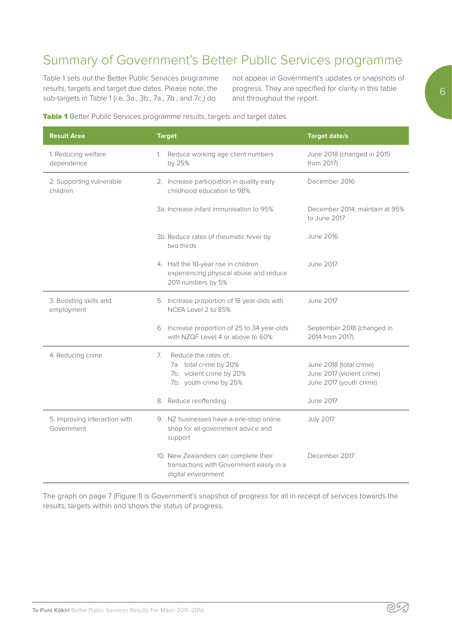# Summary of Government's Better Public Services programme

Table 1 sets out the Better Public Services programme results, targets and target due dates. Please note, the sub-targets in Table 1 (i.e. 3a., 3b., 7a., 7b., and 7c.) do

not appear in Government's updates or snapshots of progress. They are specified for clarity in this table and throughout the report.

#### Table 1 Better Public Services programme results, targets and target dates

| <b>Result Area</b>                          | <b>Target</b>                                                                                              | <b>Target date/s</b>                                                            |
|---------------------------------------------|------------------------------------------------------------------------------------------------------------|---------------------------------------------------------------------------------|
| 1. Reducing welfare<br>dependence           | 1. Reduce working age client numbers<br>by 25%                                                             | June 2018 (changed in 2015<br>from 2017)                                        |
| 2. Supporting vulnerable<br>children        | 2. Increase participation in quality early<br>childhood education to 98%                                   | December 2016                                                                   |
|                                             | 3a. Increase infant immunisation to 95%                                                                    | December 2014; maintain at 95%<br>to June 2017                                  |
|                                             | 3b. Reduce rates of rheumatic fever by<br>two thirds                                                       | <b>June 2016</b>                                                                |
|                                             | 4. Halt the 10-year rise in children<br>experiencing physical abuse and reduce<br>2011 numbers by 5%       | June 2017                                                                       |
| 3. Boosting skills and<br>employment        | 5. Increase proportion of 18 year-olds with<br>NCEA Level 2 to 85%                                         | <b>June 2017</b>                                                                |
|                                             | 6. Increase proportion of 25 to 34 year-olds<br>with NZQF Level 4 or above to 60%                          | September 2018 (changed in<br>2014 from 2017)                                   |
| 4. Reducing crime                           | Reduce the rates of:<br>7.<br>7a. total crime by 20%<br>7b. violent crime by 20%<br>7b. youth crime by 25% | June 2018 (total crime)<br>June 2017 (violent crime)<br>June 2017 (youth crime) |
|                                             | 8. Reduce reoffending                                                                                      | <b>June 2017</b>                                                                |
| 5. Improving interaction with<br>Government | 9. NZ businesses have a one-stop online<br>shop for all government advice and<br>support                   | <b>July 2017</b>                                                                |
|                                             | 10. New Zealanders can complete their<br>transactions with Government easily in a<br>digital environment   | December 2017                                                                   |

The graph on page 7 (Figure 1) is Government's snapshot of progress for all in receipt of services towards the results, targets within and shows the status of progress.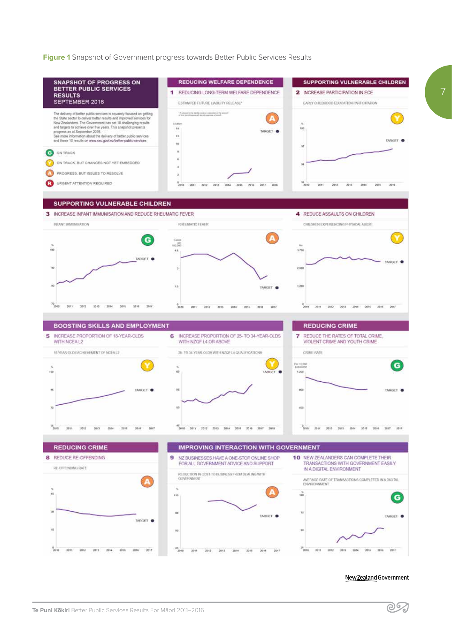**Figure 1** Snapshot of Government progress towards Better Public Services Results



New Zealand Government

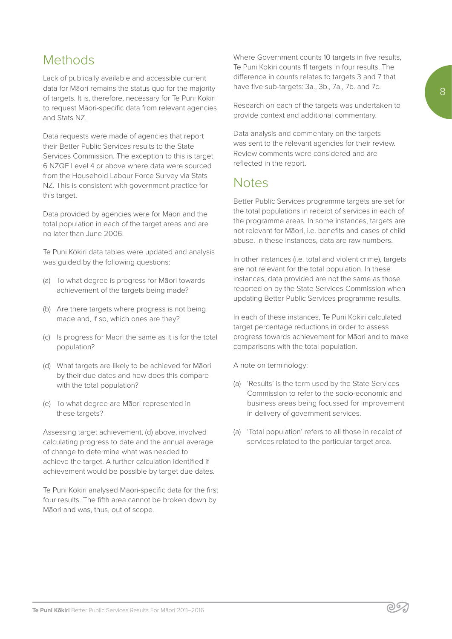## Methods

Lack of publically available and accessible current data for Māori remains the status quo for the majority of targets. It is, therefore, necessary for Te Puni Kōkiri to request Māori-specific data from relevant agencies and Stats NZ.

Data requests were made of agencies that report their Better Public Services results to the State Services Commission. The exception to this is target 6 NZQF Level 4 or above where data were sourced from the Household Labour Force Survey via Stats NZ. This is consistent with government practice for this target.

Data provided by agencies were for Māori and the total population in each of the target areas and are no later than June 2006.

Te Puni Kōkiri data tables were updated and analysis was guided by the following questions:

- (a) To what degree is progress for Māori towards achievement of the targets being made?
- (b) Are there targets where progress is not being made and, if so, which ones are they?
- (c) Is progress for Māori the same as it is for the total population?
- (d) What targets are likely to be achieved for Māori by their due dates and how does this compare with the total population?
- (e) To what degree are Māori represented in these targets?

Assessing target achievement, (d) above, involved calculating progress to date and the annual average of change to determine what was needed to achieve the target. A further calculation identified if achievement would be possible by target due dates.

Te Puni Kōkiri analysed Māori-specific data for the first four results. The fifth area cannot be broken down by Māori and was, thus, out of scope.

Where Government counts 10 targets in five results, Te Puni Kōkiri counts 11 targets in four results. The difference in counts relates to targets 3 and 7 that have five sub-targets: 3a., 3b., 7a., 7b. and 7c.

Research on each of the targets was undertaken to provide context and additional commentary.

Data analysis and commentary on the targets was sent to the relevant agencies for their review. Review comments were considered and are reflected in the report.

## **Notes**

Better Public Services programme targets are set for the total populations in receipt of services in each of the programme areas. In some instances, targets are not relevant for Māori, i.e. benefits and cases of child abuse. In these instances, data are raw numbers.

In other instances (i.e. total and violent crime), targets are not relevant for the total population. In these instances, data provided are not the same as those reported on by the State Services Commission when updating Better Public Services programme results.

In each of these instances, Te Puni Kōkiri calculated target percentage reductions in order to assess progress towards achievement for Māori and to make comparisons with the total population.

A note on terminology:

- (a) 'Results' is the term used by the State Services Commission to refer to the socio-economic and business areas being focussed for improvement in delivery of government services.
- (a) 'Total population' refers to all those in receipt of services related to the particular target area.

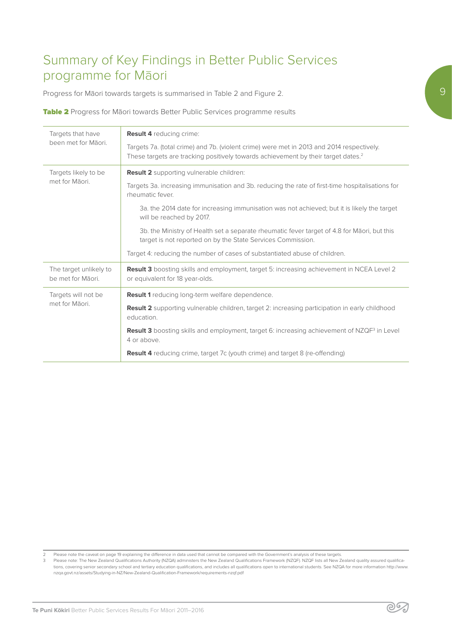# Summary of Key Findings in Better Public Services programme for Māori

Progress for Māori towards targets is summarised in Table 2 and Figure 2.

Table 2 Progress for Māori towards Better Public Services programme results

| Targets that have<br>been met for Māori.    | <b>Result 4 reducing crime:</b><br>Targets 7a. (total crime) and 7b. (violent crime) were met in 2013 and 2014 respectively.<br>These targets are tracking positively towards achievement by their target dates. <sup>2</sup> |  |
|---------------------------------------------|-------------------------------------------------------------------------------------------------------------------------------------------------------------------------------------------------------------------------------|--|
| Targets likely to be                        | Result 2 supporting vulnerable children:                                                                                                                                                                                      |  |
| met for Māori.                              | Targets 3a. increasing immunisation and 3b. reducing the rate of first-time hospitalisations for<br>rheumatic fever.                                                                                                          |  |
|                                             | 3a. the 2014 date for increasing immunisation was not achieved; but it is likely the target<br>will be reached by 2017.                                                                                                       |  |
|                                             | 3b. the Ministry of Health set a separate rheumatic fever target of 4.8 for Maori, but this<br>target is not reported on by the State Services Commission.                                                                    |  |
|                                             | Target 4: reducing the number of cases of substantiated abuse of children.                                                                                                                                                    |  |
| The target unlikely to<br>be met for Māori. | Result 3 boosting skills and employment, target 5: increasing achievement in NCEA Level 2<br>or equivalent for 18 year-olds.                                                                                                  |  |
| Targets will not be                         | Result 1 reducing long-term welfare dependence.                                                                                                                                                                               |  |
| met for Māori.                              | Result 2 supporting vulnerable children, target 2: increasing participation in early childhood<br>education.                                                                                                                  |  |
|                                             | <b>Result 3</b> boosting skills and employment, target 6: increasing achievement of NZQF <sup>3</sup> in Level<br>4 or above.                                                                                                 |  |
|                                             | <b>Result 4</b> reducing crime, target 7c (youth crime) and target 8 (re-offending)                                                                                                                                           |  |

2 Please note the caveat on page 19 explaining the difference in data used that cannot be compared with the Government's analysis of these targets.<br>3 Please note: The New Zealand Qualifications Authority (NZQA) administers tions, covering senior secondary school and tertiary education qualifications, and includes all qualifications open to international students. See NZQA for more information http://www. nzqa.govt.nz/assets/Studying-in-NZ/New-Zealand-Qualification-Framework/requirements-nzqf.pdf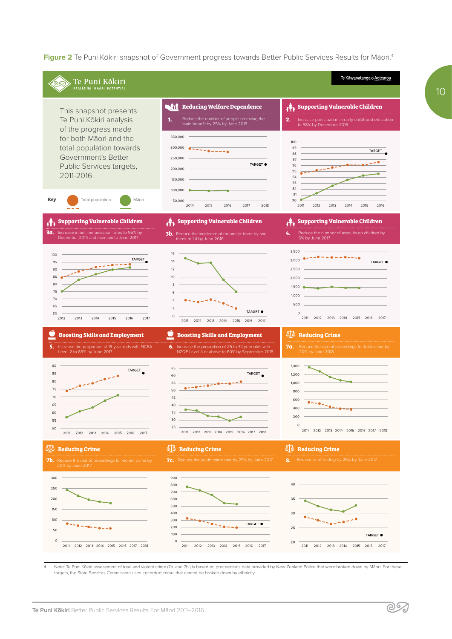**Figure 2** Te Puni Kōkiri snapshot of Government progress towards Better Public Services Results for Māori.4



4 Note: Te Puni Kōkiri assessment of total and violent crime (7a. and 7b.) is based on proceedings data provided by New Zealand Police that were broken down by Māori. For these targets, the State Services Commission uses 'recorded crime' that cannot be broken down by ethnicity.

<u> SS</u>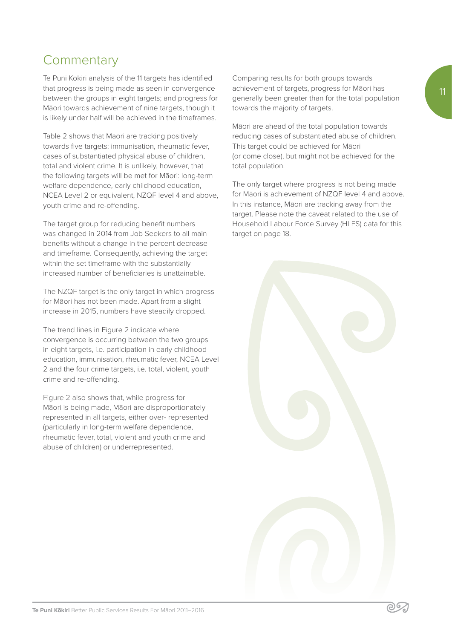Te Puni Kōkiri analysis of the 11 targets has identified that progress is being made as seen in convergence between the groups in eight targets; and progress for Māori towards achievement of nine targets, though it is likely under half will be achieved in the timeframes.

Table 2 shows that Māori are tracking positively towards five targets: immunisation, rheumatic fever, cases of substantiated physical abuse of children, total and violent crime. It is unlikely, however, that the following targets will be met for Māori: long-term welfare dependence, early childhood education, NCEA Level 2 or equivalent, NZQF level 4 and above, youth crime and re-offending.

The target group for reducing benefit numbers was changed in 2014 from Job Seekers to all main benefits without a change in the percent decrease and timeframe. Consequently, achieving the target within the set timeframe with the substantially increased number of beneficiaries is unattainable.

The NZQF target is the only target in which progress for Māori has not been made. Apart from a slight increase in 2015, numbers have steadily dropped.

The trend lines in Figure 2 indicate where convergence is occurring between the two groups in eight targets, i.e. participation in early childhood education, immunisation, rheumatic fever, NCEA Level 2 and the four crime targets, i.e. total, violent, youth crime and re-offending.

Figure 2 also shows that, while progress for Māori is being made, Māori are disproportionately represented in all targets, either over- represented (particularly in long-term welfare dependence, rheumatic fever, total, violent and youth crime and abuse of children) or underrepresented.

Comparing results for both groups towards achievement of targets, progress for Māori has generally been greater than for the total population towards the majority of targets.

Māori are ahead of the total population towards reducing cases of substantiated abuse of children. This target could be achieved for Māori (or come close), but might not be achieved for the total population.

The only target where progress is not being made for Māori is achievement of NZQF level 4 and above. In this instance, Māori are tracking away from the target. Please note the caveat related to the use of Household Labour Force Survey (HLFS) data for this target on page 18.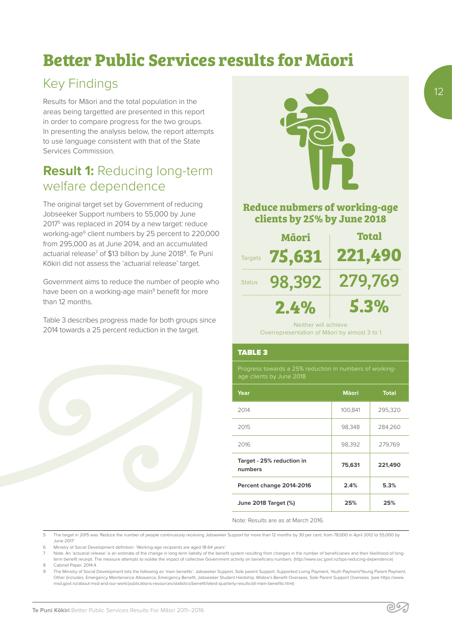# **Better Public Services results for Māori**

# Key Findings

Results for Māori and the total population in the areas being targetted are presented in this report in order to compare progress for the two groups. In presenting the analysis below, the report attempts to use language consistent with that of the State Services Commission.

# **Result 1:** Reducing long-term welfare dependence

The original target set by Government of reducing Jobseeker Support numbers to 55,000 by June 20175 was replaced in 2014 by a new target: reduce working-age<sup>6</sup> client numbers by 25 percent to 220,000 from 295,000 as at June 2014, and an accumulated actuarial release<sup>7</sup> of \$13 billion by June 2018<sup>8</sup>. Te Puni Kōkiri did not assess the 'actuarial release' target.

Government aims to reduce the number of people who have been on a working-age main<sup>9</sup> benefit for more than 12 months.

Table 3 describes progress made for both groups since 2014 towards a 25 percent reduction in the target.





### **Reduce nubmers of working-age clients by 25% by June 2018**

|               | Māori                | <b>Total</b> |
|---------------|----------------------|--------------|
|               | Targets 75,631       | 221,490      |
| <b>Status</b> | 98,392               | 279,769      |
|               | 2.4%                 | 5.3%         |
|               | Neither will achieve |              |

Overrepresentation of Māori by almost 3 to 1

#### TABLE 3

Progress towards a 25% reduction in numbers of working-

| Year                                 | <b>M</b> aori | <b>Total</b> |
|--------------------------------------|---------------|--------------|
| 2014                                 | 100,841       | 295,320      |
| 2015                                 | 98,348        | 284,260      |
| 2016                                 | 98,392        | 279,769      |
| Target - 25% reduction in<br>numbers | 75,631        | 221,490      |
| Percent change 2014-2016             | 2.4%          | 5.3%         |
| June 2018 Target (%)                 | 25%           | 25%          |

၉၆၇

Note: Results are as at March 2016.

- 5 The target in 2015 was 'Reduce the number of people continuously receiving Jobseeker Support for more than 12 months by 30 per cent, from 78,000 in April 2012 to 55,000 by June 2017'
- 6 Ministry of Social Development definition: 'Working-age recipients are aged 18-64 years'
- Note: An 'actuarial release' is an estimate of the change in long-term liability of the benefit system resulting from changes in the number of beneficiaries and their likelihood of longterm benefit receipt. The measure attempts to isolate the impact of collective Government activity on beneficiary numbers. (http://www.ssc.govt.nz/bps-reducing-dependence) 8 Cabinet Paper, 2014:4
- 9 The Ministry of Social Development lists the following as 'main benefits': Jobseeker Support, Sole parent Support, Supported Living Payment, Youth Payment/Young Parent Payment, Other (includes, Emergency Maintenance Allowance, Emergency Benefit, Jobseeker Student Hardship, Widow's Benefit Overseas, Sole Parent Support Overseas. (see https://www. msd.govt.nz/about-msd-and-our-work/publications-resources/statistics/benefit/latest-quarterly-results/all-main-benefits.html)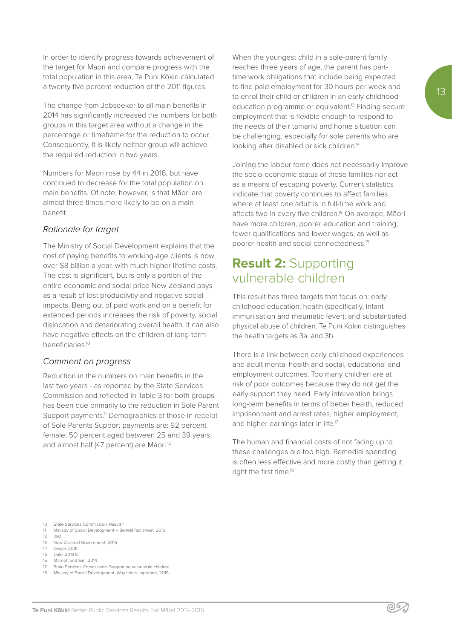In order to identify progress towards achievement of the target for Māori and compare progress with the total population in this area, Te Puni Kōkiri calculated a twenty five percent reduction of the 2011 figures.

The change from Jobseeker to all main benefits in 2014 has significantly increased the numbers for both groups in this target area without a change in the percentage or timeframe for the reduction to occur. Consequently, it is likely neither group will achieve the required reduction in two years.

Numbers for Māori rose by 44 in 2016, but have continued to decrease for the total population on main benefits. Of note, however, is that Māori are almost three times more likely to be on a main benefit.

#### *Rationale for target*

The Ministry of Social Development explains that the cost of paying benefits to working-age clients is now over \$8 billion a year, with much higher lifetime costs. The cost is significant, but is only a portion of the entire economic and social price New Zealand pays as a result of lost productivity and negative social impacts. Being out of paid work and on a benefit for extended periods increases the risk of poverty, social dislocation and deteriorating overall health. It can also have negative effects on the children of long-term beneficiaries.10

#### *Comment on progress*

Reduction in the numbers on main benefits in the last two years - as reported by the State Services Commission and reflected in Table 3 for both groups has been due primarily to the reduction in Sole Parent Support payments.<sup>11</sup> Demographics of those in receipt of Sole Parents Support payments are: 92 percent female; 50 percent aged between 25 and 39 years, and almost half (47 percent) are Māori.<sup>12</sup>

When the youngest child in a sole-parent family reaches three years of age, the parent has parttime work obligations that include being expected to find paid employment for 30 hours per week and to enrol their child or children in an early childhood education programme or equivalent.<sup>13</sup> Finding secure employment that is flexible enough to respond to the needs of their tamariki and home situation can be challenging, especially for sole parents who are looking after disabled or sick children.<sup>14</sup>

Joining the labour force does not necessarily improve the socio-economic status of these families nor act as a means of escaping poverty. Current statistics indicate that poverty continues to affect families where at least one adult is in full-time work and affects two in every five children.15 On average, Māori have more children, poorer education and training, fewer qualifications and lower wages, as well as poorer health and social connectedness.16

## **Result 2:** Supporting vulnerable children

This result has three targets that focus on: early childhood education; health (specifically, infant immunisation and rheumatic fever); and substantiated physical abuse of children. Te Puni Kōkiri distinguishes the health targets as 3a. and 3b.

There is a link between early childhood experiences and adult mental health and social, educational and employment outcomes. Too many children are at risk of poor outcomes because they do not get the early support they need. Early intervention brings long-term benefits in terms of better health, reduced imprisonment and arrest rates, higher employment, and higher earnings later in life.<sup>17</sup>

The human and financial costs of not facing up to these challenges are too high. Remedial spending is often less effective and more costly than getting it right the first time.<sup>18</sup>

رو(۾

- 11 Ministry of Social Development Benefit fact sheet, 2016.
- $\begin{bmatrix} 12 & \text{ibid} \\ 13 & \text{Now} \end{bmatrix}$
- New Zealand Government, 2015 14 Dwyer, 2015.
- 
- 15 Dale, 2013:5. Marriott and Sim. 2014.
- State Services Commission: Supporting vulnerable children
- 18 Ministry of Social Development. Why this is important, 2015

<sup>10</sup> State Services Commission: Result 1<br>11 Ministry of Social Development - Be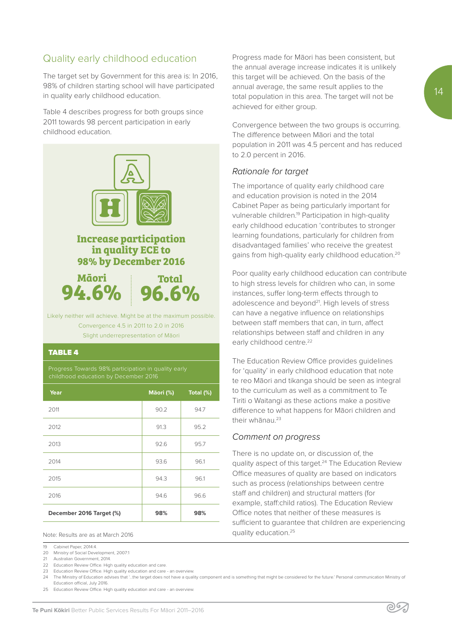## Quality early childhood education

The target set by Government for this area is: In 2016, 98% of children starting school will have participated in quality early childhood education.

Table 4 describes progress for both groups since 2011 towards 98 percent participation in early childhood education.



| Year                     | Māori (%) | Total (%) |
|--------------------------|-----------|-----------|
| 2011                     | 90.2      | 94.7      |
| 2012                     | 91.3      | 95.2      |
| 2013                     | 92.6      | 95.7      |
| 2014                     | 93.6      | 96.1      |
| 2015                     | 94.3      | 96.1      |
| 2016                     | 94.6      | 96.6      |
| December 2016 Target (%) | 98%       | 98%       |

Note: Results are as at March 2016

22 Education Review Office. High quality education and care.

23 Education Review Office. High quality education and care - an overview. 24 The Ministry of Education advises that '...the target does not have a quality component and is something that might be considered for the future.' Personal communication Ministry of

Education official, July 2016.

25 Education Review Office. High quality education and care - an overview.

**Te Puni Kōkiri** Better Public Services Results For Māori 2011–2016

Progress made for Māori has been consistent, but the annual average increase indicates it is unlikely this target will be achieved. On the basis of the annual average, the same result applies to the total population in this area. The target will not be achieved for either group.

Convergence between the two groups is occurring. The difference between Māori and the total population in 2011 was 4.5 percent and has reduced to 2.0 percent in 2016.

#### *Rationale for target*

The importance of quality early childhood care and education provision is noted in the 2014 Cabinet Paper as being particularly important for vulnerable children.19 Participation in high-quality early childhood education 'contributes to stronger learning foundations, particularly for children from disadvantaged families' who receive the greatest gains from high-quality early childhood education.20

Poor quality early childhood education can contribute to high stress levels for children who can, in some instances, suffer long-term effects through to adolescence and beyond<sup>21</sup>. High levels of stress can have a negative influence on relationships between staff members that can, in turn, affect relationships between staff and children in any early childhood centre.<sup>22</sup>

The Education Review Office provides guidelines for 'quality' in early childhood education that note te reo Māori and tikanga should be seen as integral to the curriculum as well as a commitment to Te Tiriti o Waitangi as these actions make a positive difference to what happens for Māori children and their whanau.<sup>23</sup>

#### *Comment on progress*

There is no update on, or discussion of, the quality aspect of this target.24 The Education Review Office measures of quality are based on indicators such as process (relationships between centre staff and children) and structural matters (for example, staff:child ratios). The Education Review Office notes that neither of these measures is sufficient to guarantee that children are experiencing quality education.25



<sup>19</sup> Cabinet Paper, 2014:4.

<sup>20</sup> Ministry of Social Development, 2007:1

<sup>21</sup> Australian Government, 2014.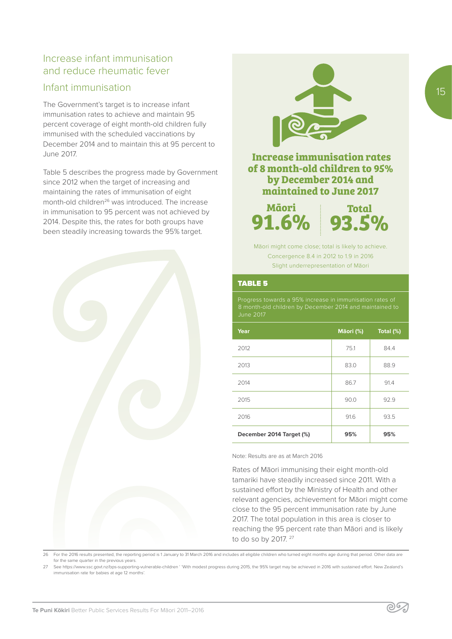## Increase infant immunisation and reduce rheumatic fever

### Infant immunisation

The Government's target is to increase infant immunisation rates to achieve and maintain 95 percent coverage of eight month-old children fully immunised with the scheduled vaccinations by December 2014 and to maintain this at 95 percent to June 2017.

Table 5 describes the progress made by Government since 2012 when the target of increasing and maintaining the rates of immunisation of eight month-old children<sup>26</sup> was introduced. The increase in immunisation to 95 percent was not achieved by 2014. Despite this, the rates for both groups have been steadily increasing towards the 95% target.





### **Increase immunisation rates of 8 month-old children to 95% by December 2014 and maintained to June 2017**

**Māori 91.6%**

**Total 93.5%**

Māori might come close; total is likely to achieve. Concergence 8.4 in 2012 to 1.9 in 2016 Slight underrepresentation of Māori

#### TABLE 5

June 2017

| Year                     | Māori (%) | Total (%) |
|--------------------------|-----------|-----------|
| 2012                     | 75.1      | 84.4      |
| 2013                     | 83.0      | 88.9      |
| 2014                     | 86.7      | 91.4      |
| 2015                     | 90.0      | 92.9      |
| 2016                     | 91.6      | 93.5      |
| December 2014 Target (%) | 95%       | 95%       |

Note: Results are as at March 2016

Rates of Māori immunising their eight month-old tamariki have steadily increased since 2011. With a sustained effort by the Ministry of Health and other relevant agencies, achievement for Māori might come close to the 95 percent immunisation rate by June 2017. The total population in this area is closer to reaching the 95 percent rate than Māori and is likely to do so by 2017. <sup>27</sup>

26 For the 2016 results presented, the reporting period is 1 January to 31 March 2016 and includes all eligible children who turned eight months age during that period. Other data are for the same quarter in the previous years.

27 See https://www.ssc.govt.nz/bps-supporting-vulnerable-children ' 'With modest progress during 2015, the 95% target may be achieved in 2016 with sustained effort. New Zealand's immunisation rate for babies at age 12 months'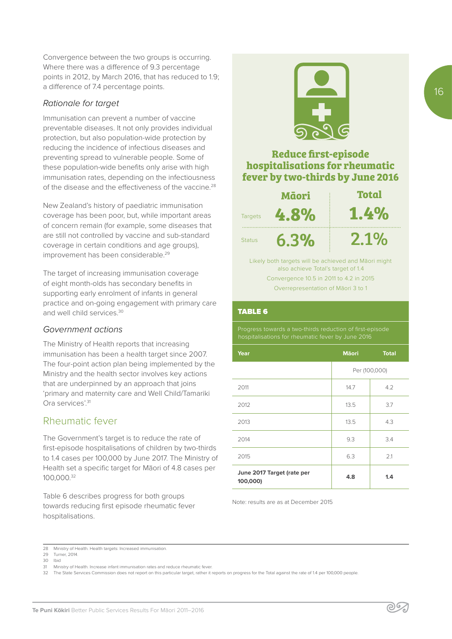Convergence between the two groups is occurring. Where there was a difference of 9.3 percentage points in 2012, by March 2016, that has reduced to 1.9; a difference of 7.4 percentage points.

#### *Rationale for target*

Immunisation can prevent a number of vaccine preventable diseases. It not only provides individual protection, but also population-wide protection by reducing the incidence of infectious diseases and preventing spread to vulnerable people. Some of these population-wide benefits only arise with high immunisation rates, depending on the infectiousness of the disease and the effectiveness of the vaccine.<sup>28</sup>

New Zealand's history of paediatric immunisation coverage has been poor, but, while important areas of concern remain (for example, some diseases that are still not controlled by vaccine and sub-standard coverage in certain conditions and age groups), improvement has been considerable.<sup>29</sup>

The target of increasing immunisation coverage of eight month-olds has secondary benefits in supporting early enrolment of infants in general practice and on-going engagement with primary care and well child services<sup>30</sup>

#### *Government actions*

The Ministry of Health reports that increasing immunisation has been a health target since 2007. The four-point action plan being implemented by the Ministry and the health sector involves key actions that are underpinned by an approach that joins 'primary and maternity care and Well Child/Tamariki Ora services'.<sup>31</sup>

### Rheumatic fever

The Government's target is to reduce the rate of first-episode hospitalisations of children by two-thirds to 1.4 cases per 100,000 by June 2017. The Ministry of Health set a specific target for Māori of 4.8 cases per 100,000.32

Table 6 describes progress for both groups towards reducing first episode rheumatic fever hospitalisations.



### **Reduce first-episode hospitalisations for rheumatic fever by two-thirds by June 2016**

|                | Māori | <b>Total</b> |
|----------------|-------|--------------|
| <b>Targets</b> | 4.8%  | 1.4%         |
| <b>Status</b>  | 6.3%  | 2.1%         |

Likely both targets will be achieved and Māori might also achieve Total's target of 1.4 Convergence 10.5 in 2011 to 4.2 in 2015 Overrepresentation of Māori 3 to 1

#### TABLE 6

Progress towards a two-thirds reduction of first-episode

| Year                                   | <b>Maori</b>  | <b>Total</b> |
|----------------------------------------|---------------|--------------|
|                                        | Per (100,000) |              |
| 2011                                   | 14.7          | 4.2          |
| 2012                                   | 13.5          | 3.7          |
| 2013                                   | 13.5          | 4.3          |
| 2014                                   | 9.3           | 3.4          |
| 2015                                   | 6.3           | 2.1          |
| June 2017 Target (rate per<br>100,000) | 4.8           | 1.4          |

Note: results are as at December 2015

32 The State Services Commission does not report on this particular target, rather it reports on progress for the Total against the rate of 1.4 per 100,000 people.

<sup>28</sup> Ministry of Health. Health targets: Increased immunisation.

<sup>29</sup> Turner, 2014.

<sup>30</sup> Ibid

<sup>31</sup> Ministry of Health. Increase infant immunisation rates and reduce rheumatic fever.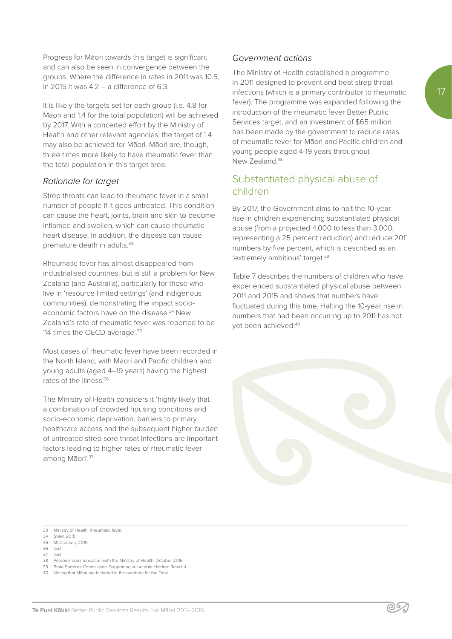Progress for Māori towards this target is significant and can also be seen in convergence between the groups. Where the difference in rates in 2011 was 10.5, in 2015 it was  $4.2 - a$  difference of 6.3.

It is likely the targets set for each group (i.e. 4.8 for Māori and 1.4 for the total population) will be achieved by 2017. With a concerted effort by the Ministry of Health and other relevant agencies, the target of 1.4 may also be achieved for Māori. Māori are, though, three times more likely to have rheumatic fever than the total population in this target area.

### *Rationale for target*

Strep throats can lead to rheumatic fever in a small number of people if it goes untreated. This condition can cause the heart, joints, brain and skin to become inflamed and swollen, which can cause rheumatic heart disease. In addition, the disease can cause premature death in adults.<sup>33</sup>

Rheumatic fever has almost disappeared from industrialised countries, but is still a problem for New Zealand (and Australia), particularly for those who live in 'resource limited settings' (and indigenous communities), demonstrating the impact socioeconomic factors have on the disease.<sup>34</sup> New Zealand's rate of rheumatic fever was reported to be '14 times the OECD average'.35

Most cases of rheumatic fever have been recorded in the North Island, with Māori and Pacific children and young adults (aged 4–19 years) having the highest rates of the illness.<sup>36</sup>

The Ministry of Health considers it 'highly likely that a combination of crowded housing conditions and socio-economic deprivation, barriers to primary healthcare access and the subsequent higher burden of untreated strep sore throat infections are important factors leading to higher rates of rheumatic fever among Māori'.37

#### *Government actions*

The Ministry of Health established a programme in 2011 designed to prevent and treat strep throat infections (which is a primary contributor to rheumatic fever). The programme was expanded following the introduction of the rheumatic fever Better Public Services target, and an investment of \$65 million has been made by the government to reduce rates of rheumatic fever for Māori and Pacific children and young people aged 4-19 years throughout New Zealand.<sup>38</sup>

## Substantiated physical abuse of children

By 2017, the Government aims to halt the 10-year rise in children experiencing substantiated physical abuse (from a projected 4,000 to less than 3,000, representing a 25 percent reduction) and reduce 2011 numbers by five percent, which is described as an 'extremely ambitious' target.39

Table 7 describes the numbers of children who have experienced substantiated physical abuse between 2011 and 2015 and shows that numbers have fluctuated during this time. Halting the 10-year rise in numbers that had been occurring up to 2011 has not yet been achieved.40

∕ ب(⊘

39 State Services Commission: Supporting vulnerable children Result 4.

<sup>33</sup> Ministry of Health. Rheumatic fever.

<sup>34</sup> Steer, 2015. 35 McCracken, 2015

<sup>36</sup> Ibid

<sup>37</sup> Ibid

<sup>38</sup> Personal communication with the Ministry of Health, October 2016.

<sup>40</sup> Noting that Māori are included in the numbers for the Total.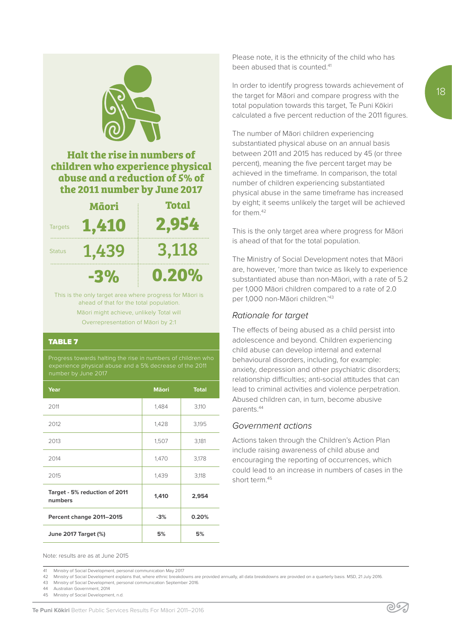

## **Halt the rise in numbers of children who experience physical abuse and a reduction of 5% of the 2011 number by June 2017**

|                | Māori | <b>Total</b> |
|----------------|-------|--------------|
| <b>Targets</b> | 1,410 | 2,954        |
| <b>Status</b>  | 1,439 | 3,118        |
|                | -3%   | 0.20%        |

This is the only target area where progress for Māori is ahead of that for the total population. Māori might achieve, unlikely Total will Overrepresentation of Māori by 2:1

#### TABLE 7

Progress towards halting the rise in numbers of children who experience physical abuse and a 5% decrease of the 2011

| Year                                     | <b>M</b> aori | <b>Total</b> |
|------------------------------------------|---------------|--------------|
| 2011                                     | 1,484         | 3,110        |
| 2012                                     | 1,428         | 3,195        |
| 2013                                     | 1,507         | 3,181        |
| 2014                                     | 1,470         | 3,178        |
| 2015                                     | 1,439         | 3,118        |
| Target - 5% reduction of 2011<br>numbers | 1,410         | 2,954        |
| Percent change 2011-2015                 | $-3%$         | 0.20%        |
| June 2017 Target (%)                     | 5%            | 5%           |

Please note, it is the ethnicity of the child who has been abused that is counted.41

In order to identify progress towards achievement of the target for Māori and compare progress with the total population towards this target, Te Puni Kōkiri calculated a five percent reduction of the 2011 figures.

The number of Māori children experiencing substantiated physical abuse on an annual basis between 2011 and 2015 has reduced by 45 (or three percent), meaning the five percent target may be achieved in the timeframe. In comparison, the total number of children experiencing substantiated physical abuse in the same timeframe has increased by eight; it seems unlikely the target will be achieved for them.42

This is the only target area where progress for Māori is ahead of that for the total population.

The Ministry of Social Development notes that Māori are, however, 'more than twice as likely to experience substantiated abuse than non-Māori, with a rate of 5.2 per 1,000 Māori children compared to a rate of 2.0 per 1,000 non-Māori children.'43

#### *Rationale for target*

The effects of being abused as a child persist into adolescence and beyond. Children experiencing child abuse can develop internal and external behavioural disorders, including, for example: anxiety, depression and other psychiatric disorders; relationship difficulties; anti-social attitudes that can lead to criminal activities and violence perpetration. Abused children can, in turn, become abusive parents.44

#### *Government actions*

Actions taken through the Children's Action Plan include raising awareness of child abuse and encouraging the reporting of occurrences, which could lead to an increase in numbers of cases in the short term.45

Note: results are as at June 2015

41 Ministry of Social Development, personal communication May 2017

42 Ministry of Social Development explains that, where ethnic breakdowns are provided annually, all data breakdowns are provided on a quarterly basis. MSD, 21 July 2016.

43 Ministry of Social Development, personal communication September 2016.

44 Australian Government, 2014

45 Ministry of Social Development, n.d.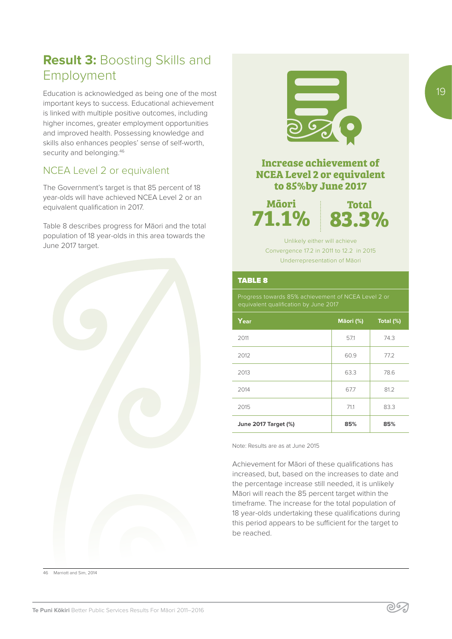# **Result 3:** Boosting Skills and Employment

Education is acknowledged as being one of the most important keys to success. Educational achievement is linked with multiple positive outcomes, including higher incomes, greater employment opportunities and improved health. Possessing knowledge and skills also enhances peoples' sense of self-worth, security and belonging.<sup>46</sup>

## NCEA Level 2 or equivalent

The Government's target is that 85 percent of 18 year-olds will have achieved NCEA Level 2 or an equivalent qualification in 2017.

Table 8 describes progress for Māori and the total population of 18 year-olds in this area towards the June 2017 target.





## **Increase achievement of NCEA Level 2 or equivalent to 85%by June 2017**

**Māori 71.1%**

**Total 83.3%**

Unlikely either will achieve Convergence 17.2 in 2011 to 12.2 in 2015 Underrepresentation of Māori

#### TABLE 8

Progress towards 85% achievement of NCEA Level 2 or equivalent qualification by June 2017

| Year                        | Māori (%) | Total (%) |
|-----------------------------|-----------|-----------|
| 2011                        | 57.1      | 74.3      |
| 2012                        | 60.9      | 77.2      |
| 2013                        | 63.3      | 78.6      |
| 2014                        | 67.7      | 81.2      |
| 2015                        | 71.1      | 83.3      |
| <b>June 2017 Target (%)</b> | 85%       | 85%       |

Note: Results are as at June 2015

Achievement for Māori of these qualifications has increased, but, based on the increases to date and the percentage increase still needed, it is unlikely Māori will reach the 85 percent target within the timeframe. The increase for the total population of 18 year-olds undertaking these qualifications during this period appears to be sufficient for the target to be reached.

46 Marriott and Sim, 2014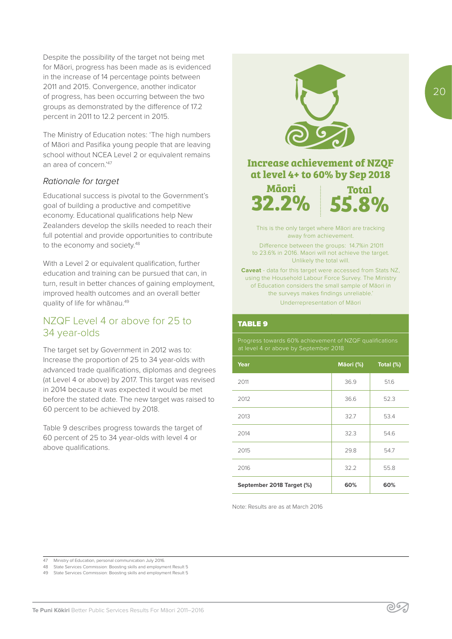Despite the possibility of the target not being met for Māori, progress has been made as is evidenced in the increase of 14 percentage points between 2011 and 2015. Convergence, another indicator of progress, has been occurring between the two groups as demonstrated by the difference of 17.2 percent in 2011 to 12.2 percent in 2015.

The Ministry of Education notes: 'The high numbers of Māori and Pasifika young people that are leaving school without NCEA Level 2 or equivalent remains an area of concern.'47

#### *Rationale for target*

Educational success is pivotal to the Government's goal of building a productive and competitive economy. Educational qualifications help New Zealanders develop the skills needed to reach their full potential and provide opportunities to contribute to the economy and society.<sup>48</sup>

With a Level 2 or equivalent qualification, further education and training can be pursued that can, in turn, result in better chances of gaining employment. improved health outcomes and an overall better quality of life for whanau.<sup>49</sup>

### NZQF Level 4 or above for 25 to 34 year-olds

The target set by Government in 2012 was to: Increase the proportion of 25 to 34 year-olds with advanced trade qualifications, diplomas and degrees (at Level 4 or above) by 2017. This target was revised in 2014 because it was expected it would be met before the stated date. The new target was raised to 60 percent to be achieved by 2018.

Table 9 describes progress towards the target of 60 percent of 25 to 34 year-olds with level 4 or above qualifications.



### **Increase achievement of NZQF at level 4+ to 60% by Sep 2018**

**Māori 32.2%**



This is the only target where Māori are tracking away from achievement.

 Difference between the groups: 14.7%in 21011 to 23.6% in 2016. Maori will not achieve the target. Unlikely the total will.

**Caveat** - data for this target were accessed from Stats NZ, using the Household Labour Force Survey. The Ministry of Education considers the small sample of Māori in the surveys makes findings unreliable.' Underrepresentation of Māori

#### TABLE 9

Progress towards 60% achievement of NZQF qualifications

| Year                      | Māori (%) | Total (%) |
|---------------------------|-----------|-----------|
| 2011                      | 36.9      | 51.6      |
| 2012                      | 36.6      | 52.3      |
| 2013                      | 32.7      | 53.4      |
| 2014                      | 32.3      | 54.6      |
| 2015                      | 29.8      | 54.7      |
| 2016                      | 32.2      | 55.8      |
| September 2018 Target (%) | 60%       | 60%       |

Note: Results are as at March 2016

47 Ministry of Education, personal communication July 2016.

- 48 State Services Commission: Boosting skills and employment Result 5
- 49 State Services Commission: Boosting skills and employment Result 5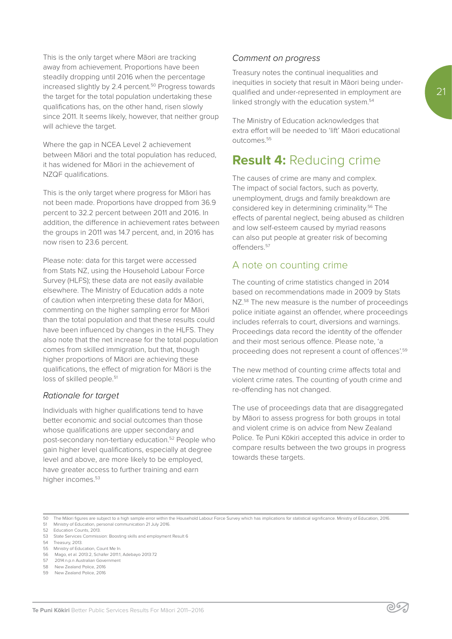This is the only target where Māori are tracking away from achievement. Proportions have been steadily dropping until 2016 when the percentage increased slightly by 2.4 percent.<sup>50</sup> Progress towards the target for the total population undertaking these qualifications has, on the other hand, risen slowly since 2011. It seems likely, however, that neither group will achieve the target.

Where the gap in NCEA Level 2 achievement between Māori and the total population has reduced, it has widened for Māori in the achievement of NZQF qualifications.

This is the only target where progress for Māori has not been made. Proportions have dropped from 36.9 percent to 32.2 percent between 2011 and 2016. In addition, the difference in achievement rates between the groups in 2011 was 14.7 percent, and, in 2016 has now risen to 23.6 percent.

Please note: data for this target were accessed from Stats NZ, using the Household Labour Force Survey (HLFS); these data are not easily available elsewhere. The Ministry of Education adds a note of caution when interpreting these data for Māori, commenting on the higher sampling error for Māori than the total population and that these results could have been influenced by changes in the HLFS. They also note that the net increase for the total population comes from skilled immigration, but that, though higher proportions of Māori are achieving these qualifications, the effect of migration for Māori is the loss of skilled people.<sup>51</sup>

#### *Rationale for target*

Individuals with higher qualifications tend to have better economic and social outcomes than those whose qualifications are upper secondary and post-secondary non-tertiary education.<sup>52</sup> People who gain higher level qualifications, especially at degree level and above, are more likely to be employed, have greater access to further training and earn higher incomes.<sup>53</sup>

#### *Comment on progress*

Treasury notes the continual inequalities and inequities in society that result in Māori being underqualified and under-represented in employment are linked strongly with the education system.<sup>54</sup>

The Ministry of Education acknowledges that extra effort will be needed to 'lift' Māori educational outcomes.55

## **Result 4:** Reducing crime

The causes of crime are many and complex. The impact of social factors, such as poverty, unemployment, drugs and family breakdown are considered key in determining criminality.56 The effects of parental neglect, being abused as children and low self-esteem caused by myriad reasons can also put people at greater risk of becoming offenders.57

### A note on counting crime

The counting of crime statistics changed in 2014 based on recommendations made in 2009 by Stats NZ.<sup>58</sup> The new measure is the number of proceedings police initiate against an offender, where proceedings includes referrals to court, diversions and warnings. Proceedings data record the identity of the offender and their most serious offence. Please note, 'a proceeding does not represent a count of offences'.59

The new method of counting crime affects total and violent crime rates. The counting of youth crime and re-offending has not changed.

The use of proceedings data that are disaggregated by Māori to assess progress for both groups in total and violent crime is on advice from New Zealand Police. Te Puni Kōkiri accepted this advice in order to compare results between the two groups in progress towards these targets.

50 The Māori figures are subject to a high sample error within the Household Labour Force Survey which has implications for statistical significance. Ministry of Education, 2016.<br>51 Ministry of Education, personal communic

51 Ministry of Education, personal communication 21 July 2016.

- 58 New Zealand Police, 2016
- 59 New Zealand Police, 2016

<sup>52</sup> Education Counts, 2013.

<sup>53</sup> State Services Commission: Boosting skills and employment Result 6

<sup>54</sup> Treasury, 2013.

<sup>55</sup> Ministry of Education, Count Me In.

<sup>56</sup> Mago, et al. 2013:2, Schäfer 2011:1, Adebayo 2013:72 57 2014:n.p.n Australian Government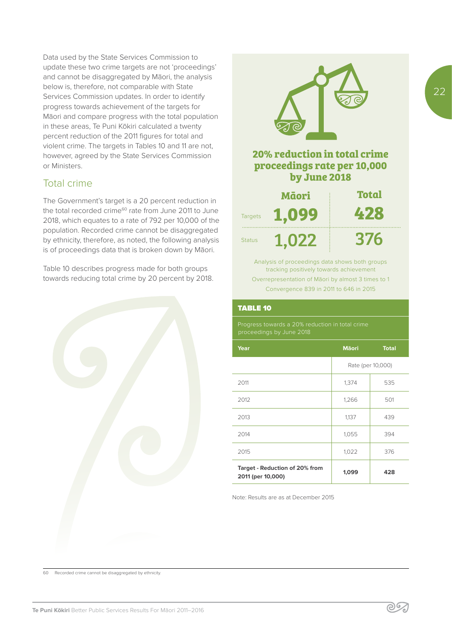Data used by the State Services Commission to update these two crime targets are not 'proceedings' and cannot be disaggregated by Māori, the analysis below is, therefore, not comparable with State Services Commission updates. In order to identify progress towards achievement of the targets for Māori and compare progress with the total population in these areas, Te Puni Kōkiri calculated a twenty percent reduction of the 2011 figures for total and violent crime. The targets in Tables 10 and 11 are not, however, agreed by the State Services Commission or Ministers.

### Total crime

The Government's target is a 20 percent reduction in the total recorded crime<sup>60</sup> rate from June 2011 to June 2018, which equates to a rate of 792 per 10,000 of the population. Recorded crime cannot be disaggregated by ethnicity, therefore, as noted, the following analysis is of proceedings data that is broken down by Māori.

Table 10 describes progress made for both groups towards reducing total crime by 20 percent by 2018.





## **20% reduction in total crime proceedings rate per 10,000 by June 2018**

|                | Māori | <b>Total</b> |
|----------------|-------|--------------|
| <b>Targets</b> | 1,099 | 428          |
| <b>Status</b>  | 1.022 | 376          |

Analysis of proceedings data shows both groups tracking positively towards achievement Overrepresentation of Māori by almost 3 times to 1 Convergence 839 in 2011 to 646 in 2015

#### TABLE 10

| Year                                                | <b>M</b> aori     | <b>Total</b> |
|-----------------------------------------------------|-------------------|--------------|
|                                                     | Rate (per 10,000) |              |
| 2011                                                | 1,374             | 535          |
| 2012                                                | 1,266             | 501          |
| 2013                                                | 1,137             | 439          |
| 2014                                                | 1,055             | 394          |
| 2015                                                | 1,022             | 376          |
| Target - Reduction of 20% from<br>2011 (per 10,000) | 1,099             | 428          |

Note: Results are as at December 2015

22

60 Recorded crime cannot be disaggregated by ethnicity.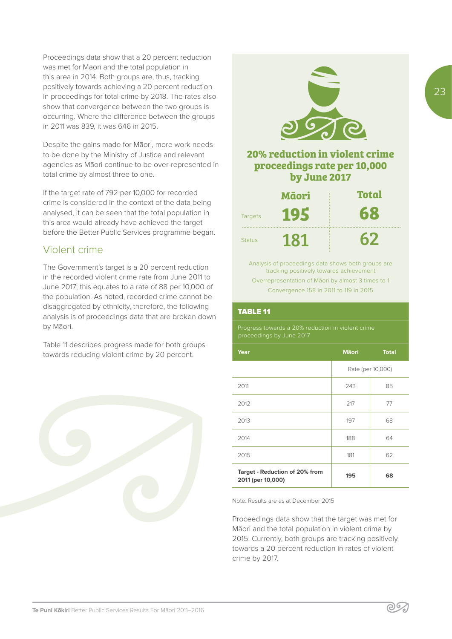Proceedings data show that a 20 percent reduction was met for Māori and the total population in this area in 2014. Both groups are, thus, tracking positively towards achieving a 20 percent reduction in proceedings for total crime by 2018. The rates also show that convergence between the two groups is occurring. Where the difference between the groups in 2011 was 839, it was 646 in 2015.

Despite the gains made for Māori, more work needs to be done by the Ministry of Justice and relevant agencies as Māori continue to be over-represented in total crime by almost three to one.

If the target rate of 792 per 10,000 for recorded crime is considered in the context of the data being analysed, it can be seen that the total population in this area would already have achieved the target before the Better Public Services programme began.

## Violent crime

The Government's target is a 20 percent reduction in the recorded violent crime rate from June 2011 to June 2017; this equates to a rate of 88 per 10,000 of the population. As noted, recorded crime cannot be disaggregated by ethnicity, therefore, the following analysis is of proceedings data that are broken down by Māori.

Table 11 describes progress made for both groups towards reducing violent crime by 20 percent.





**by June 2017**

| Māori          |     | <b>Total</b> |
|----------------|-----|--------------|
| <b>Targets</b> | 195 | 68           |
| <b>Status</b>  | 181 | 67           |

Analysis of proceedings data shows both groups are tracking positively towards achievement Overrepresentation of Māori by almost 3 times to 1 Convergence 158 in 2011 to 119 in 2015

#### TABLE 11

Progress towards a 20% reduction in violent crime proceedings by June 2017

| Year                                                | <b>M</b> aori     | <b>Total</b> |
|-----------------------------------------------------|-------------------|--------------|
|                                                     | Rate (per 10,000) |              |
| 2011                                                | 243               | 85           |
| 2012                                                | 217               | 77           |
| 2013                                                | 197               | 68           |
| 2014                                                | 188               | 64           |
| 2015                                                | 181               | 62           |
| Target - Reduction of 20% from<br>2011 (per 10,000) | 195               | 68           |

Note: Results are as at December 2015

Proceedings data show that the target was met for Māori and the total population in violent crime by 2015. Currently, both groups are tracking positively towards a 20 percent reduction in rates of violent crime by 2017.

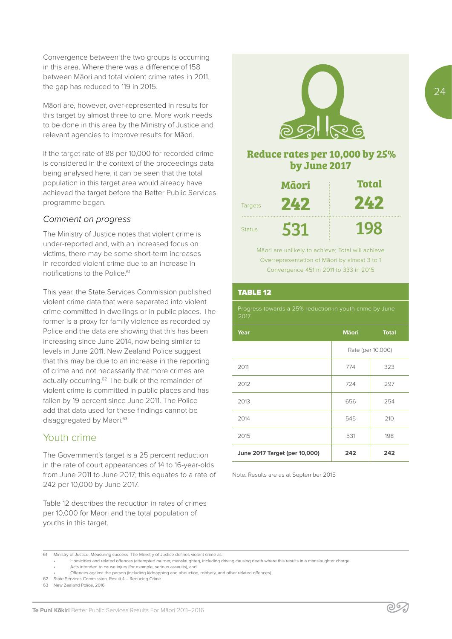Convergence between the two groups is occurring in this area. Where there was a difference of 158 between Māori and total violent crime rates in 2011, the gap has reduced to 119 in 2015.

Māori are, however, over-represented in results for this target by almost three to one. More work needs to be done in this area by the Ministry of Justice and relevant agencies to improve results for Māori.

If the target rate of 88 per 10,000 for recorded crime is considered in the context of the proceedings data being analysed here, it can be seen that the total population in this target area would already have achieved the target before the Better Public Services programme began.

#### *Comment on progress*

The Ministry of Justice notes that violent crime is under-reported and, with an increased focus on victims, there may be some short-term increases in recorded violent crime due to an increase in notifications to the Police<sup>61</sup>

This year, the State Services Commission published violent crime data that were separated into violent crime committed in dwellings or in public places. The former is a proxy for family violence as recorded by Police and the data are showing that this has been increasing since June 2014, now being similar to levels in June 2011. New Zealand Police suggest that this may be due to an increase in the reporting of crime and not necessarily that more crimes are actually occurring.<sup>62</sup> The bulk of the remainder of violent crime is committed in public places and has fallen by 19 percent since June 2011. The Police add that data used for these findings cannot be disaggregated by Māori.<sup>63</sup>

### Youth crime

The Government's target is a 25 percent reduction in the rate of court appearances of 14 to 16-year-olds from June 2011 to June 2017; this equates to a rate of 242 per 10,000 by June 2017.

Table 12 describes the reduction in rates of crimes per 10,000 for Māori and the total population of youths in this target.



### **Reduce rates per 10,000 by 25% by June 2017**

|                | Māori | <b>Total</b> |
|----------------|-------|--------------|
| <b>Targets</b> | 242   | 242          |
| <b>Status</b>  | 531   | 198          |

Māori are unlikely to achieve; Total will achieve Overrepresentation of Māori by almost 3 to 1 Convergence 451 in 2011 to 333 in 2015

#### TABLE 12

Progress towards a 25% reduction in youth crime by June 2017

| Year                          | <b>M</b> aori | <b>Total</b>      |
|-------------------------------|---------------|-------------------|
|                               |               | Rate (per 10,000) |
| 2011                          | 774           | 323               |
| 2012                          | 724           | 297               |
| 2013                          | 656           | 254               |
| 2014                          | 545           | 210               |
| 2015                          | 531           | 198               |
| June 2017 Target (per 10,000) | 242           | 242               |

Note: Results are as at September 2015

<sup>61</sup> Ministry of Justice, Measuring success. The Ministry of Justice defines violent crime as:

<sup>•</sup> Homicides and related offences (attempted murder, manslaughter), including driving causing death where this results in a manslaughter charge

<sup>•</sup> Acts intended to cause injury (for example, serious assaults), and

<sup>•</sup> Offences against the person (including kidnapping and abduction, robbery, and other related offences).

<sup>62</sup> State Services Commission. Result 4 – Reducing Crime

<sup>63</sup> New Zealand Police, 2016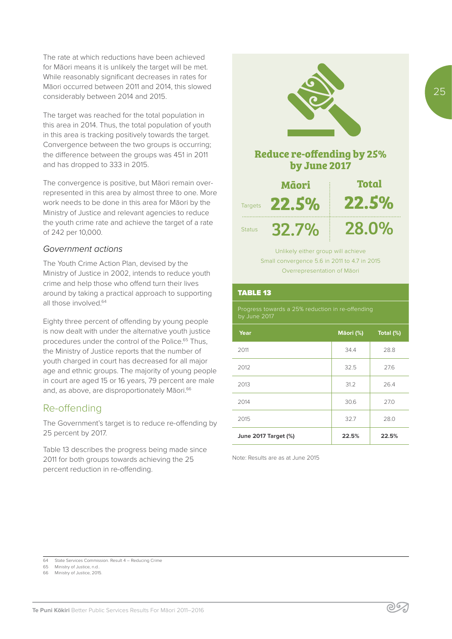The rate at which reductions have been achieved for Māori means it is unlikely the target will be met. While reasonably significant decreases in rates for Māori occurred between 2011 and 2014, this slowed considerably between 2014 and 2015.

The target was reached for the total population in this area in 2014. Thus, the total population of youth in this area is tracking positively towards the target. Convergence between the two groups is occurring; the difference between the groups was 451 in 2011 and has dropped to 333 in 2015.

The convergence is positive, but Māori remain overrepresented in this area by almost three to one. More work needs to be done in this area for Māori by the Ministry of Justice and relevant agencies to reduce the youth crime rate and achieve the target of a rate of 242 per 10,000.

#### *Government actions*

The Youth Crime Action Plan, devised by the Ministry of Justice in 2002, intends to reduce youth crime and help those who offend turn their lives around by taking a practical approach to supporting all those involved.64

Eighty three percent of offending by young people is now dealt with under the alternative youth justice procedures under the control of the Police.<sup>65</sup> Thus, the Ministry of Justice reports that the number of youth charged in court has decreased for all major age and ethnic groups. The majority of young people in court are aged 15 or 16 years, 79 percent are male and, as above, are disproportionately Māori.<sup>66</sup>

### Re-offending

The Government's target is to reduce re-offending by 25 percent by 2017.

Table 13 describes the progress being made since 2011 for both groups towards achieving the 25 percent reduction in re-offending.



Overrepresentation of Māori

#### TABLE 13

Progress towards a 25% reduction in re-offending by June 2017

| Year                        | Māori (%) | Total (%) |
|-----------------------------|-----------|-----------|
| 2011                        | 34.4      | 28.8      |
| 2012                        | 32.5      | 27.6      |
| 2013                        | 31.2      | 26.4      |
| 2014                        | 30.6      | 27.0      |
| 2015                        | 32.7      | 28.0      |
| <b>June 2017 Target (%)</b> | 22.5%     | 22.5%     |

Note: Results are as at June 2015

<sup>64</sup> State Services Commission. Result 4 – Reducing Crime<br>65 Ministry of Justice n.d.

Ministry of Justice, n.d.

Ministry of Justice, 2015.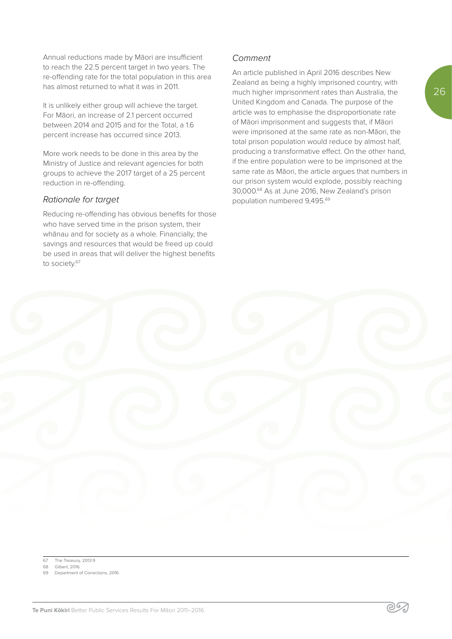Annual reductions made by Māori are insufficient to reach the 22.5 percent target in two years. The re-offending rate for the total population in this area has almost returned to what it was in 2011.

It is unlikely either group will achieve the target. For Māori, an increase of 2.1 percent occurred between 2014 and 2015 and for the Total, a 1.6 percent increase has occurred since 2013.

More work needs to be done in this area by the Ministry of Justice and relevant agencies for both groups to achieve the 2017 target of a 25 percent reduction in re-offending.

#### *Rationale for target*

Reducing re-offending has obvious benefits for those who have served time in the prison system, their whānau and for society as a whole. Financially, the savings and resources that would be freed up could be used in areas that will deliver the highest benefits to society.<sup>67</sup>

#### *Comment*

An article published in April 2016 describes New Zealand as being a highly imprisoned country, with much higher imprisonment rates than Australia, the United Kingdom and Canada. The purpose of the article was to emphasise the disproportionate rate of Māori imprisonment and suggests that, if Māori were imprisoned at the same rate as non-Māori, the total prison population would reduce by almost half, producing a transformative effect. On the other hand, if the entire population were to be imprisoned at the same rate as Māori, the article argues that numbers in our prison system would explode, possibly reaching 30,000.68 As at June 2016, New Zealand's prison population numbered 9,495.69

67 The Treasury, 2013:9 Gilbert, 2016

Department of Corrections, 2016.

| $\bigcirc$ | $\sim$ |                                                  |           |
|------------|--------|--------------------------------------------------|-----------|
|            |        | $\begin{pmatrix} 1 \\ 1 \\ 1 \\ 1 \end{pmatrix}$ |           |
|            |        |                                                  | $\bigcup$ |
|            |        |                                                  |           |

၉၆2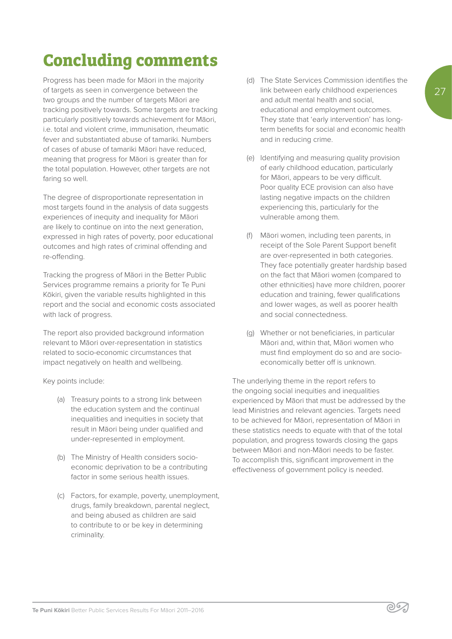27

# **Concluding comments**

Progress has been made for Māori in the majority of targets as seen in convergence between the two groups and the number of targets Māori are tracking positively towards. Some targets are tracking particularly positively towards achievement for Māori, i.e. total and violent crime, immunisation, rheumatic fever and substantiated abuse of tamariki. Numbers of cases of abuse of tamariki Māori have reduced, meaning that progress for Māori is greater than for the total population. However, other targets are not faring so well.

The degree of disproportionate representation in most targets found in the analysis of data suggests experiences of inequity and inequality for Māori are likely to continue on into the next generation, expressed in high rates of poverty, poor educational outcomes and high rates of criminal offending and re-offending.

Tracking the progress of Māori in the Better Public Services programme remains a priority for Te Puni Kōkiri, given the variable results highlighted in this report and the social and economic costs associated with lack of progress.

The report also provided background information relevant to Māori over-representation in statistics related to socio-economic circumstances that impact negatively on health and wellbeing.

Key points include:

- (a) Treasury points to a strong link between the education system and the continual inequalities and inequities in society that result in Māori being under qualified and under-represented in employment.
- (b) The Ministry of Health considers socioeconomic deprivation to be a contributing factor in some serious health issues.
- (c) Factors, for example, poverty, unemployment, drugs, family breakdown, parental neglect, and being abused as children are said to contribute to or be key in determining criminality.
- (d) The State Services Commission identifies the link between early childhood experiences and adult mental health and social, educational and employment outcomes. They state that 'early intervention' has longterm benefits for social and economic health and in reducing crime.
- (e) Identifying and measuring quality provision of early childhood education, particularly for Māori, appears to be very difficult. Poor quality ECE provision can also have lasting negative impacts on the children experiencing this, particularly for the vulnerable among them.
- (f) Māori women, including teen parents, in receipt of the Sole Parent Support benefit are over-represented in both categories. They face potentially greater hardship based on the fact that Māori women (compared to other ethnicities) have more children, poorer education and training, fewer qualifications and lower wages, as well as poorer health and social connectedness.
- (g) Whether or not beneficiaries, in particular Māori and, within that, Māori women who must find employment do so and are socioeconomically better off is unknown.

The underlying theme in the report refers to the ongoing social inequities and inequalities experienced by Māori that must be addressed by the lead Ministries and relevant agencies. Targets need to be achieved for Māori, representation of Māori in these statistics needs to equate with that of the total population, and progress towards closing the gaps between Māori and non-Māori needs to be faster. To accomplish this, significant improvement in the effectiveness of government policy is needed.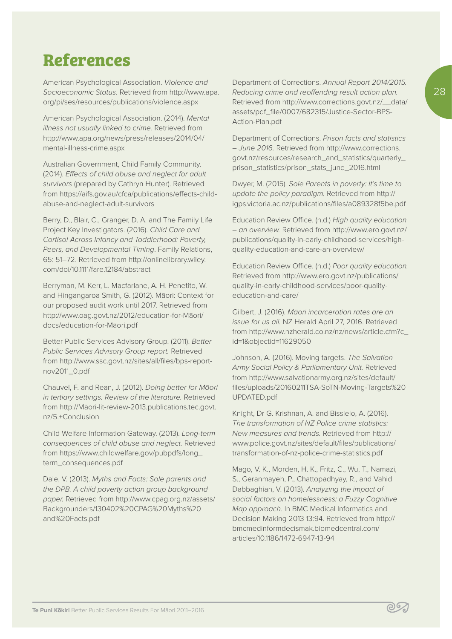# **References**

American Psychological Association. *Violence and Socioeconomic Status.* Retrieved from http://www.apa. org/pi/ses/resources/publications/violence.aspx

American Psychological Association. (2014). *Mental illness not usually linked to crime.* Retrieved from http://www.apa.org/news/press/releases/2014/04/ mental-illness-crime.aspx

Australian Government, Child Family Community. (2014). *Effects of child abuse and neglect for adult survivors* (prepared by Cathryn Hunter). Retrieved from https://aifs.gov.au/cfca/publications/effects-childabuse-and-neglect-adult-survivors

Berry, D., Blair, C., Granger, D. A. and The Family Life Project Key Investigators. (2016). *Child Care and Cortisol Across Infancy and Toddlerhood: Poverty, Peers, and Developmental Timing*. Family Relations, 65: 51–72. Retrieved from http://onlinelibrary.wiley. com/doi/10.1111/fare.12184/abstract

Berryman, M. Kerr, L. Macfarlane, A. H. Penetito, W. and Hingangaroa Smith, G. (2012). Māori: Context for our proposed audit work until 2017. Retrieved from http://www.oag.govt.nz/2012/education-for-Māori/ docs/education-for-Māori.pdf

Better Public Services Advisory Group. (2011). *Better Public Services Advisory Group report.* Retrieved from http://www.ssc.govt.nz/sites/all/files/bps-reportnov2011\_0.pdf

Chauvel, F. and Rean, J. (2012). *Doing better for Māori in tertiary settings. Review of the literature.* Retrieved from http://Māori-lit-review-2013.publications.tec.govt. nz/5.+Conclusion

Child Welfare Information Gateway. (2013). *Long-term consequences of child abuse and neglect.* Retrieved from https://www.childwelfare.gov/pubpdfs/long\_ term\_consequences.pdf

Dale, V. (2013). *Myths and Facts: Sole parents and the DPB. A child poverty action group background paper.* Retrieved from http://www.cpag.org.nz/assets/ Backgrounders/130402%20CPAG%20Myths%20 and%20Facts.pdf

Department of Corrections. *Annual Report 2014/2015. Reducing crime and reoffending result action plan.*  Retrieved from http://www.corrections.govt.nz/\_\_data/ assets/pdf\_file/0007/682315/Justice-Sector-BPS-Action-Plan.pdf

Department of Corrections. *Prison facts and statistics – June 2016.* Retrieved from http://www.corrections. govt.nz/resources/research\_and\_statistics/quarterly\_ prison\_statistics/prison\_stats\_june\_2016.html

Dwyer, M. (2015). *Sole Parents in poverty: It's time to update the policy paradigm.* Retrieved from http:// igps.victoria.ac.nz/publications/files/a089328f5be.pdf

Education Review Office. (n.d.) *High quality education – an overview.* Retrieved from http://www.ero.govt.nz/ publications/quality-in-early-childhood-services/highquality-education-and-care-an-overview/

Education Review Office. (n.d.) *Poor quality education.* Retrieved from http://www.ero.govt.nz/publications/ quality-in-early-childhood-services/poor-qualityeducation-and-care/

Gilbert, J. (2016). *Māori incarceration rates are an issue for us all.* NZ Herald April 27, 2016. Retrieved from http://www.nzherald.co.nz/nz/news/article.cfm?c\_ id=1&objectid=11629050

Johnson, A. (2016). Moving targets. *The Salvation Army Social Policy & Parliamentary Unit.* Retrieved from http://www.salvationarmy.org.nz/sites/default/ files/uploads/20160211TSA-SoTN-Moving-Targets%20 UPDATED.pdf

Knight, Dr G. Krishnan, A. and Bissielo, A. (2016). *The transformation of NZ Police crime statistics: New measures and trends.* Retrieved from http:// www.police.govt.nz/sites/default/files/publications/ transformation-of-nz-police-crime-statistics.pdf

Mago, V. K., Morden, H. K., Fritz, C., Wu, T., Namazi, S., Geranmayeh, P., Chattopadhyay, R., and Vahid Dabbaghian, V. (2013). *Analyzing the impact of social factors on homelessness: a Fuzzy Cognitive Map approach.* In BMC Medical Informatics and Decision Making 2013 13:94. Retrieved from http:// bmcmedinformdecismak.biomedcentral.com/ articles/10.1186/1472-6947-13-94

∕∘⊗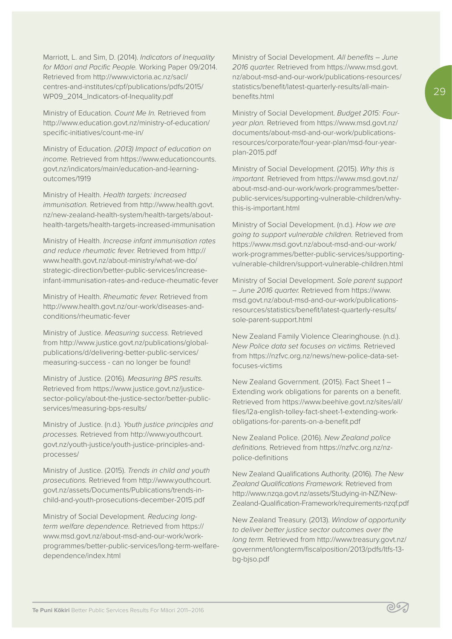Marriott, L. and Sim, D. (2014). *Indicators of Inequality for Māori and Pacific People.* Working Paper 09/2014. Retrieved from http://www.victoria.ac.nz/sacl/ centres-and-institutes/cpf/publications/pdfs/2015/ WP09\_2014\_Indicators-of-Inequality.pdf

Ministry of Education. *Count Me In.* Retrieved from http://www.education.govt.nz/ministry-of-education/ specific-initiatives/count-me-in/

Ministry of Education. *(2013) Impact of education on income.* Retrieved from https://www.educationcounts. govt.nz/indicators/main/education-and-learningoutcomes/1919

Ministry of Health. *Health targets: Increased immunisation.* Retrieved from http://www.health.govt. nz/new-zealand-health-system/health-targets/abouthealth-targets/health-targets-increased-immunisation

Ministry of Health. *Increase infant immunisation rates and reduce rheumatic fever.* Retrieved from http:// www.health.govt.nz/about-ministry/what-we-do/ strategic-direction/better-public-services/increaseinfant-immunisation-rates-and-reduce-rheumatic-fever

Ministry of Health. *Rheumatic fever.* Retrieved from http://www.health.govt.nz/our-work/diseases-andconditions/rheumatic-fever

Ministry of Justice. *Measuring success.* Retrieved from http://www.justice.govt.nz/publications/globalpublications/d/delivering-better-public-services/ measuring-success - can no longer be found!

Ministry of Justice. (2016). *Measuring BPS results.*  Retrieved from https://www.justice.govt.nz/justicesector-policy/about-the-justice-sector/better-publicservices/measuring-bps-results/

Ministry of Justice. (n.d.). *Youth justice principles and processes.* Retrieved from http://www.youthcourt. govt.nz/youth-justice/youth-justice-principles-andprocesses/

Ministry of Justice. (2015). *Trends in child and youth prosecutions.* Retrieved from http://www.youthcourt. govt.nz/assets/Documents/Publications/trends-inchild-and-youth-prosecutions-december-2015.pdf

Ministry of Social Development. *Reducing longterm welfare dependence.* Retrieved from https:// www.msd.govt.nz/about-msd-and-our-work/workprogrammes/better-public-services/long-term-welfaredependence/index.html

Ministry of Social Development. *All benefits – June 2016 quarter.* Retrieved from https://www.msd.govt. nz/about-msd-and-our-work/publications-resources/ statistics/benefit/latest-quarterly-results/all-mainbenefits.html

Ministry of Social Development. *Budget 2015: Fouryear plan.* Retrieved from https://www.msd.govt.nz/ documents/about-msd-and-our-work/publicationsresources/corporate/four-year-plan/msd-four-yearplan-2015.pdf

Ministry of Social Development. (2015). *Why this is important.* Retrieved from https://www.msd.govt.nz/ about-msd-and-our-work/work-programmes/betterpublic-services/supporting-vulnerable-children/whythis-is-important.html

Ministry of Social Development. (n.d.). *How we are going to support vulnerable children.* Retrieved from https://www.msd.govt.nz/about-msd-and-our-work/ work-programmes/better-public-services/supportingvulnerable-children/support-vulnerable-children.html

Ministry of Social Development. *Sole parent support – June 2016 quarter.* Retrieved from https://www. msd.govt.nz/about-msd-and-our-work/publicationsresources/statistics/benefit/latest-quarterly-results/ sole-parent-support.html

New Zealand Family Violence Clearinghouse. (n.d.). *New Police data set focuses on victims.* Retrieved from https://nzfvc.org.nz/news/new-police-data-setfocuses-victims

New Zealand Government. (2015). Fact Sheet 1 – Extending work obligations for parents on a benefit. Retrieved from https://www.beehive.govt.nz/sites/all/ files/l2a-english-tolley-fact-sheet-1-extending-workobligations-for-parents-on-a-benefit.pdf

New Zealand Police. (2016). *New Zealand police definitions.* Retrieved from https://nzfvc.org.nz/nzpolice-definitions

New Zealand Qualifications Authority. (2016). *The New Zealand Qualifications Framework.* Retrieved from http://www.nzqa.govt.nz/assets/Studying-in-NZ/New-Zealand-Qualification-Framework/requirements-nzqf.pdf

New Zealand Treasury. (2013). *Window of opportunity to deliver better justice sector outcomes over the long term.* Retrieved from http://www.treasury.govt.nz/ government/longterm/fiscalposition/2013/pdfs/ltfs-13 bg-bjso.pdf

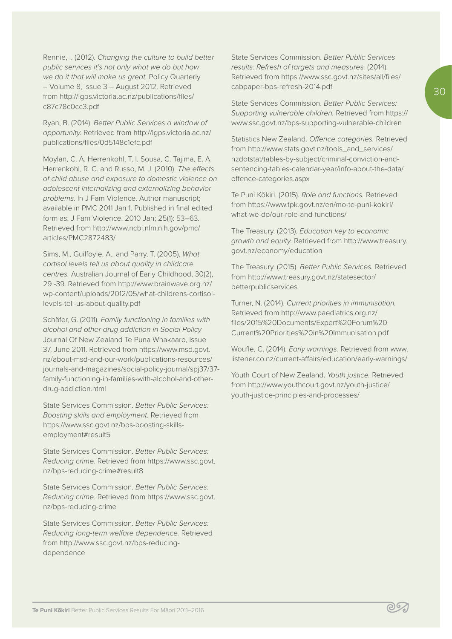Rennie, I. (2012). *Changing the culture to build better public services it's not only what we do but how we do it that will make us great.* Policy Quarterly – Volume 8, Issue 3 – August 2012. Retrieved from http://igps.victoria.ac.nz/publications/files/ c87c78c0cc3.pdf

Ryan, B. (2014). *Better Public Services a window of opportunity.* Retrieved from http://igps.victoria.ac.nz/ publications/files/0d5148c1efc.pdf

Moylan, C. A. Herrenkohl, T. I. Sousa, C. Tajima, E. A. Herrenkohl, R. C. and Russo, M. J. (2010). *The effects of child abuse and exposure to domestic violence on adolescent internalizing and externalizing behavior problems.* In J Fam Violence. Author manuscript; available in PMC 2011 Jan 1. Published in final edited form as: J Fam Violence. 2010 Jan; 25(1): 53–63. Retrieved from http://www.ncbi.nlm.nih.gov/pmc/ articles/PMC2872483/

Sims, M., Guilfoyle, A., and Parry, T. (2005). *What cortisol levels tell us about quality in childcare centres.* Australian Journal of Early Childhood, 30(2), 29 -39. Retrieved from http://www.brainwave.org.nz/ wp-content/uploads/2012/05/what-childrens-cortisollevels-tell-us-about-quality.pdf

Schäfer, G. (2011). *Family functioning in families with alcohol and other drug addiction in Social Policy* Journal Of New Zealand Te Puna Whakaaro, Issue 37, June 2011. Retrieved from https://www.msd.govt. nz/about-msd-and-our-work/publications-resources/ journals-and-magazines/social-policy-journal/spj37/37 family-functioning-in-families-with-alcohol-and-otherdrug-addiction.html

State Services Commission. *Better Public Services: Boosting skills and employment.* Retrieved from https://www.ssc.govt.nz/bps-boosting-skillsemployment#result5

State Services Commission. *Better Public Services: Reducing crime.* Retrieved from https://www.ssc.govt. nz/bps-reducing-crime#result8

State Services Commission. *Better Public Services: Reducing crime.* Retrieved from https://www.ssc.govt. nz/bps-reducing-crime

State Services Commission. *Better Public Services: Reducing long-term welfare dependence.* Retrieved from http://www.ssc.govt.nz/bps-reducingdependence

State Services Commission. *Better Public Services results: Refresh of targets and measures.* (2014). Retrieved from https://www.ssc.govt.nz/sites/all/files/ cabpaper-bps-refresh-2014.pdf

State Services Commission. *Better Public Services: Supporting vulnerable children.* Retrieved from https:// www.ssc.govt.nz/bps-supporting-vulnerable-children

Statistics New Zealand. *Offence categories.* Retrieved from http://www.stats.govt.nz/tools\_and\_services/ nzdotstat/tables-by-subject/criminal-conviction-andsentencing-tables-calendar-year/info-about-the-data/ offence-categories.aspx

Te Puni Kōkiri. (2015). *Role and functions.* Retrieved from https://www.tpk.govt.nz/en/mo-te-puni-kokiri/ what-we-do/our-role-and-functions/

The Treasury. (2013). *Education key to economic growth and equity.* Retrieved from http://www.treasury. govt.nz/economy/education

The Treasury. (2015). *Better Public Services.* Retrieved from http://www.treasury.govt.nz/statesector/ betterpublicservices

Turner, N. (2014). *Current priorities in immunisation.* Retrieved from http://www.paediatrics.org.nz/ files/2015%20Documents/Expert%20Forum%20 Current%20Priorities%20in%20Immunisation.pdf

Woufle, C. (2014). *Early warnings.* Retrieved from www. listener.co.nz/current-affairs/education/early-warnings/

Youth Court of New Zealand. *Youth justice.* Retrieved from http://www.youthcourt.govt.nz/youth-justice/ youth-justice-principles-and-processes/